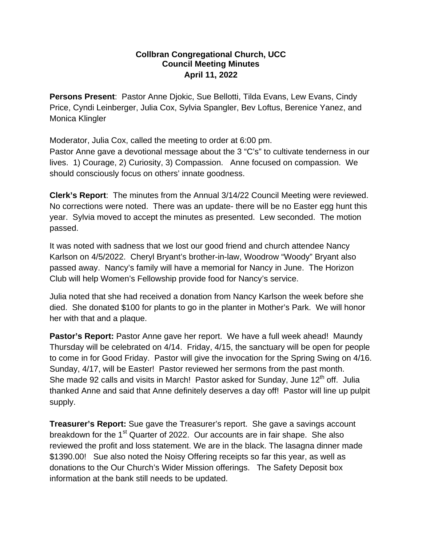## **Collbran Congregational Church, UCC Council Meeting Minutes April 11, 2022**

**Persons Present**: Pastor Anne Djokic, Sue Bellotti, Tilda Evans, Lew Evans, Cindy Price, Cyndi Leinberger, Julia Cox, Sylvia Spangler, Bev Loftus, Berenice Yanez, and Monica Klingler

Moderator, Julia Cox, called the meeting to order at 6:00 pm.

Pastor Anne gave a devotional message about the 3 "C's" to cultivate tenderness in our lives. 1) Courage, 2) Curiosity, 3) Compassion. Anne focused on compassion. We should consciously focus on others' innate goodness.

**Clerk's Report**: The minutes from the Annual 3/14/22 Council Meeting were reviewed. No corrections were noted. There was an update- there will be no Easter egg hunt this year. Sylvia moved to accept the minutes as presented. Lew seconded. The motion passed.

It was noted with sadness that we lost our good friend and church attendee Nancy Karlson on 4/5/2022. Cheryl Bryant's brother-in-law, Woodrow "Woody" Bryant also passed away. Nancy's family will have a memorial for Nancy in June. The Horizon Club will help Women's Fellowship provide food for Nancy's service.

Julia noted that she had received a donation from Nancy Karlson the week before she died. She donated \$100 for plants to go in the planter in Mother's Park. We will honor her with that and a plaque.

**Pastor's Report:** Pastor Anne gave her report. We have a full week ahead! Maundy Thursday will be celebrated on 4/14. Friday, 4/15, the sanctuary will be open for people to come in for Good Friday. Pastor will give the invocation for the Spring Swing on 4/16. Sunday, 4/17, will be Easter! Pastor reviewed her sermons from the past month. She made 92 calls and visits in March! Pastor asked for Sunday, June 12<sup>th</sup> off. Julia thanked Anne and said that Anne definitely deserves a day off! Pastor will line up pulpit supply.

**Treasurer's Report:** Sue gave the Treasurer's report. She gave a savings account breakdown for the  $1<sup>st</sup>$  Quarter of 2022. Our accounts are in fair shape. She also reviewed the profit and loss statement. We are in the black. The lasagna dinner made \$1390.00! Sue also noted the Noisy Offering receipts so far this year, as well as donations to the Our Church's Wider Mission offerings. The Safety Deposit box information at the bank still needs to be updated.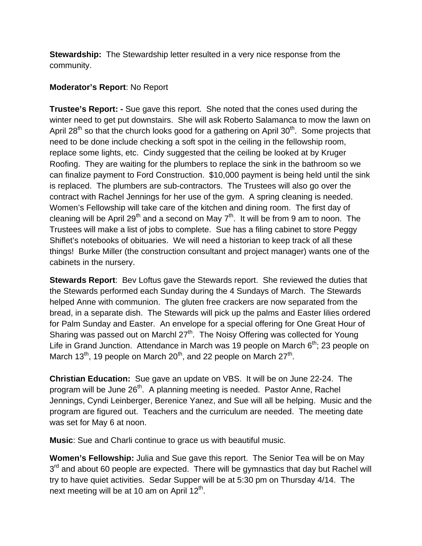**Stewardship:** The Stewardship letter resulted in a very nice response from the community.

## **Moderator's Report**: No Report

**Trustee's Report: -** Sue gave this report. She noted that the cones used during the winter need to get put downstairs. She will ask Roberto Salamanca to mow the lawn on April 28<sup>th</sup> so that the church looks good for a gathering on April 30<sup>th</sup>. Some projects that need to be done include checking a soft spot in the ceiling in the fellowship room, replace some lights, etc. Cindy suggested that the ceiling be looked at by Kruger Roofing. They are waiting for the plumbers to replace the sink in the bathroom so we can finalize payment to Ford Construction. \$10,000 payment is being held until the sink is replaced. The plumbers are sub-contractors. The Trustees will also go over the contract with Rachel Jennings for her use of the gym. A spring cleaning is needed. Women's Fellowship will take care of the kitchen and dining room. The first day of cleaning will be April 29<sup>th</sup> and a second on May  $7<sup>th</sup>$ . It will be from 9 am to noon. The Trustees will make a list of jobs to complete. Sue has a filing cabinet to store Peggy Shiflet's notebooks of obituaries. We will need a historian to keep track of all these things! Burke Miller (the construction consultant and project manager) wants one of the cabinets in the nursery.

**Stewards Report**: Bev Loftus gave the Stewards report. She reviewed the duties that the Stewards performed each Sunday during the 4 Sundays of March. The Stewards helped Anne with communion. The gluten free crackers are now separated from the bread, in a separate dish. The Stewards will pick up the palms and Easter lilies ordered for Palm Sunday and Easter. An envelope for a special offering for One Great Hour of Sharing was passed out on Marchl  $27<sup>th</sup>$ . The Noisy Offering was collected for Young Life in Grand Junction. Attendance in March was 19 people on March  $6<sup>th</sup>$ ; 23 people on March 13<sup>th</sup>, 19 people on March 20<sup>th</sup>, and 22 people on March 27<sup>th</sup>.

**Christian Education:** Sue gave an update on VBS. It will be on June 22-24. The program will be June 26<sup>th</sup>. A planning meeting is needed. Pastor Anne, Rachel Jennings, Cyndi Leinberger, Berenice Yanez, and Sue will all be helping. Music and the program are figured out. Teachers and the curriculum are needed. The meeting date was set for May 6 at noon.

**Music**: Sue and Charli continue to grace us with beautiful music.

**Women's Fellowship:** Julia and Sue gave this report. The Senior Tea will be on May  $3<sup>rd</sup>$  and about 60 people are expected. There will be gymnastics that day but Rachel will try to have quiet activities. Sedar Supper will be at 5:30 pm on Thursday 4/14. The next meeting will be at 10 am on April  $12<sup>th</sup>$ .